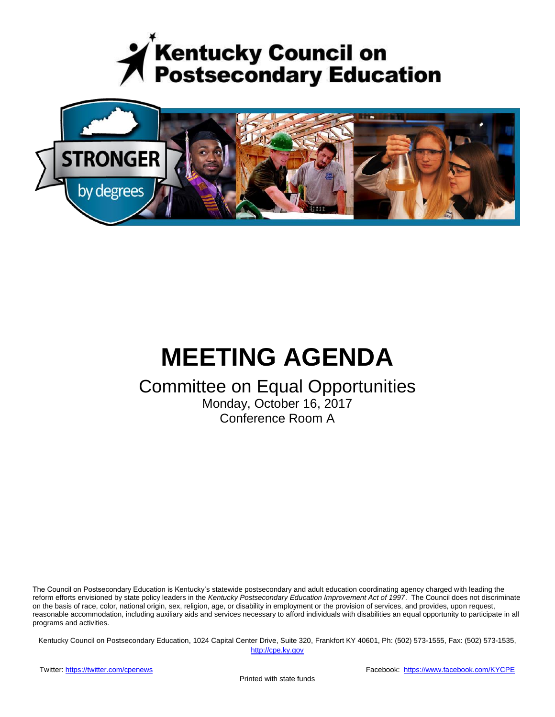



# **MEETING AGENDA**

# Committee on Equal Opportunities

Monday, October 16, 2017 Conference Room A

The Council on Postsecondary Education is Kentucky's statewide postsecondary and adult education coordinating agency charged with leading the reform efforts envisioned by state policy leaders in the *Kentucky Postsecondary Education Improvement Act of 1997*. The Council does not discriminate on the basis of race, color, national origin, sex, religion, age, or disability in employment or the provision of services, and provides, upon request, reasonable accommodation, including auxiliary aids and services necessary to afford individuals with disabilities an equal opportunity to participate in all programs and activities.

Kentucky Council on Postsecondary Education, 1024 Capital Center Drive, Suite 320, Frankfort KY 40601, Ph: (502) 573-1555, Fax: (502) 573-1535,

[http://cpe.ky.gov](http://cpe.ky.gov/)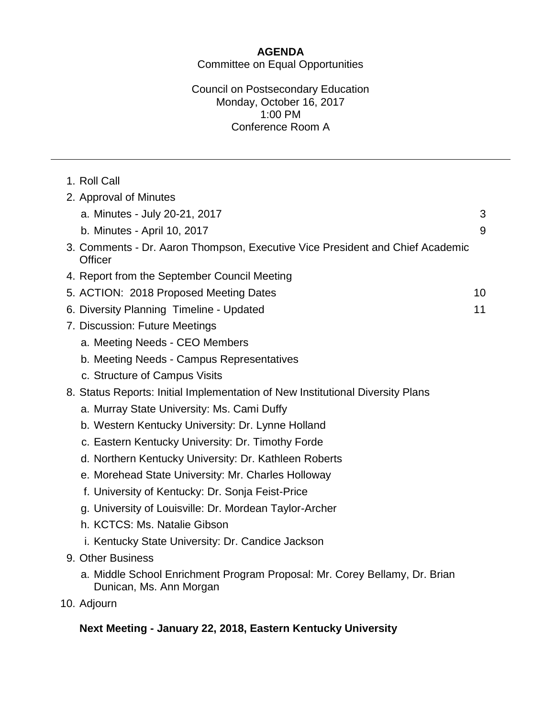# **AGENDA**

Committee on Equal Opportunities

## Council on Postsecondary Education Monday, October 16, 2017 1:00 PM Conference Room A

| 2. Approval of Minutes<br>a. Minutes - July 20-21, 2017<br>b. Minutes - April 10, 2017<br>9<br>3. Comments - Dr. Aaron Thompson, Executive Vice President and Chief Academic<br><b>Officer</b><br>4. Report from the September Council Meeting<br>5. ACTION: 2018 Proposed Meeting Dates<br>10<br>6. Diversity Planning Timeline - Updated<br>11<br>7. Discussion: Future Meetings<br>a. Meeting Needs - CEO Members<br>b. Meeting Needs - Campus Representatives<br>c. Structure of Campus Visits<br>8. Status Reports: Initial Implementation of New Institutional Diversity Plans<br>a. Murray State University: Ms. Cami Duffy<br>b. Western Kentucky University: Dr. Lynne Holland<br>c. Eastern Kentucky University: Dr. Timothy Forde<br>d. Northern Kentucky University: Dr. Kathleen Roberts<br>e. Morehead State University: Mr. Charles Holloway<br>f. University of Kentucky: Dr. Sonja Feist-Price<br>g. University of Louisville: Dr. Mordean Taylor-Archer<br>h. KCTCS: Ms. Natalie Gibson<br>i. Kentucky State University: Dr. Candice Jackson<br>9. Other Business<br>a. Middle School Enrichment Program Proposal: Mr. Corey Bellamy, Dr. Brian | 1. Roll Call |   |
|-------------------------------------------------------------------------------------------------------------------------------------------------------------------------------------------------------------------------------------------------------------------------------------------------------------------------------------------------------------------------------------------------------------------------------------------------------------------------------------------------------------------------------------------------------------------------------------------------------------------------------------------------------------------------------------------------------------------------------------------------------------------------------------------------------------------------------------------------------------------------------------------------------------------------------------------------------------------------------------------------------------------------------------------------------------------------------------------------------------------------------------------------------------------|--------------|---|
|                                                                                                                                                                                                                                                                                                                                                                                                                                                                                                                                                                                                                                                                                                                                                                                                                                                                                                                                                                                                                                                                                                                                                                   |              |   |
|                                                                                                                                                                                                                                                                                                                                                                                                                                                                                                                                                                                                                                                                                                                                                                                                                                                                                                                                                                                                                                                                                                                                                                   |              | 3 |
|                                                                                                                                                                                                                                                                                                                                                                                                                                                                                                                                                                                                                                                                                                                                                                                                                                                                                                                                                                                                                                                                                                                                                                   |              |   |
|                                                                                                                                                                                                                                                                                                                                                                                                                                                                                                                                                                                                                                                                                                                                                                                                                                                                                                                                                                                                                                                                                                                                                                   |              |   |
|                                                                                                                                                                                                                                                                                                                                                                                                                                                                                                                                                                                                                                                                                                                                                                                                                                                                                                                                                                                                                                                                                                                                                                   |              |   |
|                                                                                                                                                                                                                                                                                                                                                                                                                                                                                                                                                                                                                                                                                                                                                                                                                                                                                                                                                                                                                                                                                                                                                                   |              |   |
|                                                                                                                                                                                                                                                                                                                                                                                                                                                                                                                                                                                                                                                                                                                                                                                                                                                                                                                                                                                                                                                                                                                                                                   |              |   |
|                                                                                                                                                                                                                                                                                                                                                                                                                                                                                                                                                                                                                                                                                                                                                                                                                                                                                                                                                                                                                                                                                                                                                                   |              |   |
|                                                                                                                                                                                                                                                                                                                                                                                                                                                                                                                                                                                                                                                                                                                                                                                                                                                                                                                                                                                                                                                                                                                                                                   |              |   |
|                                                                                                                                                                                                                                                                                                                                                                                                                                                                                                                                                                                                                                                                                                                                                                                                                                                                                                                                                                                                                                                                                                                                                                   |              |   |
|                                                                                                                                                                                                                                                                                                                                                                                                                                                                                                                                                                                                                                                                                                                                                                                                                                                                                                                                                                                                                                                                                                                                                                   |              |   |
|                                                                                                                                                                                                                                                                                                                                                                                                                                                                                                                                                                                                                                                                                                                                                                                                                                                                                                                                                                                                                                                                                                                                                                   |              |   |
|                                                                                                                                                                                                                                                                                                                                                                                                                                                                                                                                                                                                                                                                                                                                                                                                                                                                                                                                                                                                                                                                                                                                                                   |              |   |
|                                                                                                                                                                                                                                                                                                                                                                                                                                                                                                                                                                                                                                                                                                                                                                                                                                                                                                                                                                                                                                                                                                                                                                   |              |   |
|                                                                                                                                                                                                                                                                                                                                                                                                                                                                                                                                                                                                                                                                                                                                                                                                                                                                                                                                                                                                                                                                                                                                                                   |              |   |
|                                                                                                                                                                                                                                                                                                                                                                                                                                                                                                                                                                                                                                                                                                                                                                                                                                                                                                                                                                                                                                                                                                                                                                   |              |   |
|                                                                                                                                                                                                                                                                                                                                                                                                                                                                                                                                                                                                                                                                                                                                                                                                                                                                                                                                                                                                                                                                                                                                                                   |              |   |
|                                                                                                                                                                                                                                                                                                                                                                                                                                                                                                                                                                                                                                                                                                                                                                                                                                                                                                                                                                                                                                                                                                                                                                   |              |   |
|                                                                                                                                                                                                                                                                                                                                                                                                                                                                                                                                                                                                                                                                                                                                                                                                                                                                                                                                                                                                                                                                                                                                                                   |              |   |
|                                                                                                                                                                                                                                                                                                                                                                                                                                                                                                                                                                                                                                                                                                                                                                                                                                                                                                                                                                                                                                                                                                                                                                   |              |   |
|                                                                                                                                                                                                                                                                                                                                                                                                                                                                                                                                                                                                                                                                                                                                                                                                                                                                                                                                                                                                                                                                                                                                                                   |              |   |
|                                                                                                                                                                                                                                                                                                                                                                                                                                                                                                                                                                                                                                                                                                                                                                                                                                                                                                                                                                                                                                                                                                                                                                   |              |   |
| Dunican, Ms. Ann Morgan                                                                                                                                                                                                                                                                                                                                                                                                                                                                                                                                                                                                                                                                                                                                                                                                                                                                                                                                                                                                                                                                                                                                           |              |   |

10. Adjourn

# **Next Meeting - January 22, 2018, Eastern Kentucky University**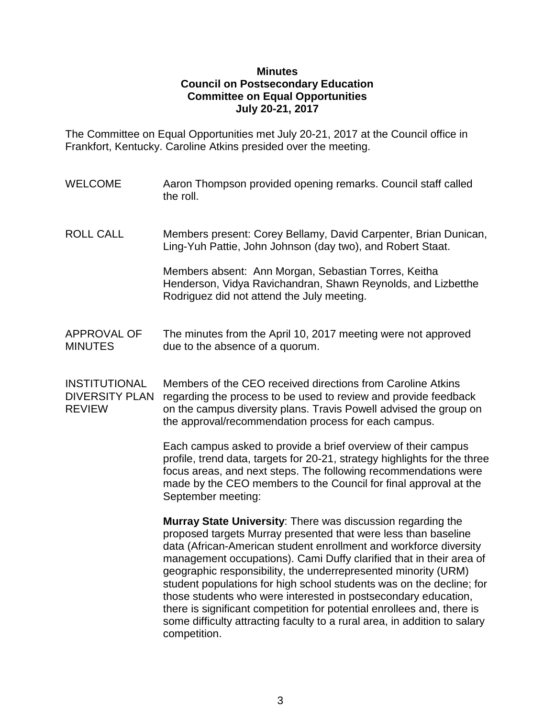#### **Minutes Council on Postsecondary Education Committee on Equal Opportunities July 20-21, 2017**

The Committee on Equal Opportunities met July 20-21, 2017 at the Council office in Frankfort, Kentucky. Caroline Atkins presided over the meeting.

- WELCOME Aaron Thompson provided opening remarks. Council staff called the roll.
- ROLL CALL Members present: Corey Bellamy, David Carpenter, Brian Dunican, Ling-Yuh Pattie, John Johnson (day two), and Robert Staat.

Members absent: Ann Morgan, Sebastian Torres, Keitha Henderson, Vidya Ravichandran, Shawn Reynolds, and Lizbetthe Rodriguez did not attend the July meeting.

# APPROVAL OF The minutes from the April 10, 2017 meeting were not approved MINUTES due to the absence of a quorum.

INSTITUTIONAL Members of the CEO received directions from Caroline Atkins DIVERSITY PLAN regarding the process to be used to review and provide feedback REVIEW on the campus diversity plans. Travis Powell advised the group on the approval/recommendation process for each campus.

> Each campus asked to provide a brief overview of their campus profile, trend data, targets for 20-21, strategy highlights for the three focus areas, and next steps. The following recommendations were made by the CEO members to the Council for final approval at the September meeting:

> **Murray State University**: There was discussion regarding the proposed targets Murray presented that were less than baseline data (African-American student enrollment and workforce diversity management occupations). Cami Duffy clarified that in their area of geographic responsibility, the underrepresented minority (URM) student populations for high school students was on the decline; for those students who were interested in postsecondary education, there is significant competition for potential enrollees and, there is some difficulty attracting faculty to a rural area, in addition to salary competition.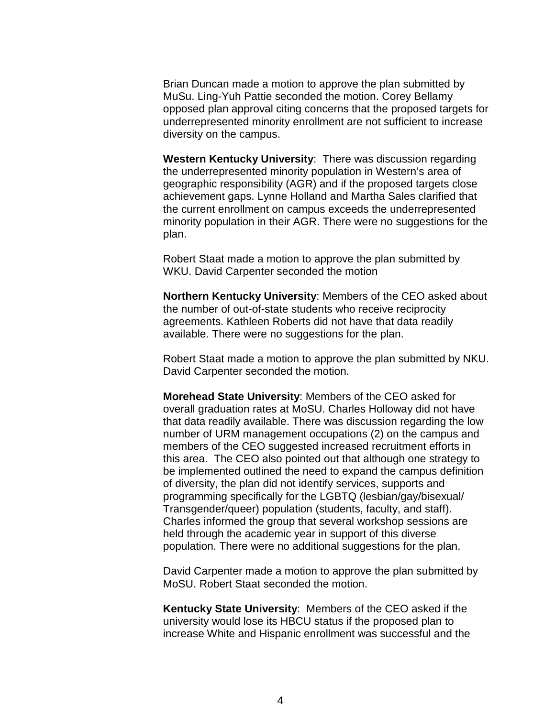Brian Duncan made a motion to approve the plan submitted by MuSu. Ling-Yuh Pattie seconded the motion. Corey Bellamy opposed plan approval citing concerns that the proposed targets for underrepresented minority enrollment are not sufficient to increase diversity on the campus.

**Western Kentucky University**: There was discussion regarding the underrepresented minority population in Western's area of geographic responsibility (AGR) and if the proposed targets close achievement gaps. Lynne Holland and Martha Sales clarified that the current enrollment on campus exceeds the underrepresented minority population in their AGR. There were no suggestions for the plan.

Robert Staat made a motion to approve the plan submitted by WKU. David Carpenter seconded the motion

**Northern Kentucky University**: Members of the CEO asked about the number of out-of-state students who receive reciprocity agreements. Kathleen Roberts did not have that data readily available. There were no suggestions for the plan.

Robert Staat made a motion to approve the plan submitted by NKU. David Carpenter seconded the motion.

**Morehead State University**: Members of the CEO asked for overall graduation rates at MoSU. Charles Holloway did not have that data readily available. There was discussion regarding the low number of URM management occupations (2) on the campus and members of the CEO suggested increased recruitment efforts in this area. The CEO also pointed out that although one strategy to be implemented outlined the need to expand the campus definition of diversity, the plan did not identify services, supports and programming specifically for the LGBTQ (lesbian/gay/bisexual/ Transgender/queer) population (students, faculty, and staff). Charles informed the group that several workshop sessions are held through the academic year in support of this diverse population. There were no additional suggestions for the plan.

David Carpenter made a motion to approve the plan submitted by MoSU. Robert Staat seconded the motion.

**Kentucky State University**: Members of the CEO asked if the university would lose its HBCU status if the proposed plan to increase White and Hispanic enrollment was successful and the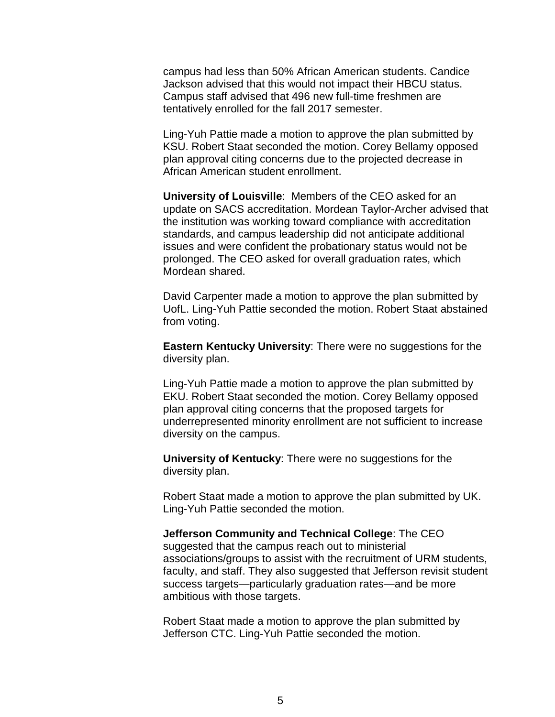campus had less than 50% African American students. Candice Jackson advised that this would not impact their HBCU status. Campus staff advised that 496 new full-time freshmen are tentatively enrolled for the fall 2017 semester.

Ling-Yuh Pattie made a motion to approve the plan submitted by KSU. Robert Staat seconded the motion. Corey Bellamy opposed plan approval citing concerns due to the projected decrease in African American student enrollment.

**University of Louisville**: Members of the CEO asked for an update on SACS accreditation. Mordean Taylor-Archer advised that the institution was working toward compliance with accreditation standards, and campus leadership did not anticipate additional issues and were confident the probationary status would not be prolonged. The CEO asked for overall graduation rates, which Mordean shared.

David Carpenter made a motion to approve the plan submitted by UofL. Ling-Yuh Pattie seconded the motion. Robert Staat abstained from voting.

**Eastern Kentucky University**: There were no suggestions for the diversity plan.

Ling-Yuh Pattie made a motion to approve the plan submitted by EKU. Robert Staat seconded the motion. Corey Bellamy opposed plan approval citing concerns that the proposed targets for underrepresented minority enrollment are not sufficient to increase diversity on the campus.

**University of Kentucky**: There were no suggestions for the diversity plan.

Robert Staat made a motion to approve the plan submitted by UK. Ling-Yuh Pattie seconded the motion.

#### **Jefferson Community and Technical College**: The CEO

suggested that the campus reach out to ministerial associations/groups to assist with the recruitment of URM students, faculty, and staff. They also suggested that Jefferson revisit student success targets—particularly graduation rates—and be more ambitious with those targets.

Robert Staat made a motion to approve the plan submitted by Jefferson CTC. Ling-Yuh Pattie seconded the motion.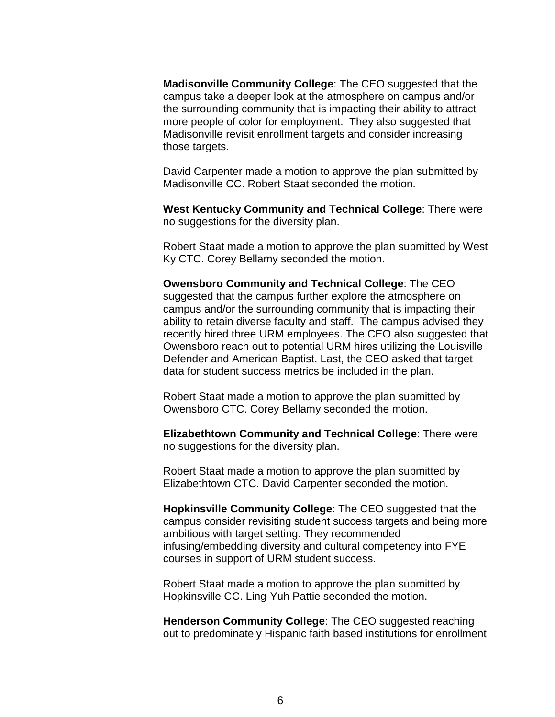**Madisonville Community College**: The CEO suggested that the campus take a deeper look at the atmosphere on campus and/or the surrounding community that is impacting their ability to attract more people of color for employment. They also suggested that Madisonville revisit enrollment targets and consider increasing those targets.

David Carpenter made a motion to approve the plan submitted by Madisonville CC. Robert Staat seconded the motion.

**West Kentucky Community and Technical College**: There were no suggestions for the diversity plan.

Robert Staat made a motion to approve the plan submitted by West Ky CTC. Corey Bellamy seconded the motion.

**Owensboro Community and Technical College**: The CEO suggested that the campus further explore the atmosphere on campus and/or the surrounding community that is impacting their ability to retain diverse faculty and staff. The campus advised they recently hired three URM employees. The CEO also suggested that Owensboro reach out to potential URM hires utilizing the Louisville Defender and American Baptist. Last, the CEO asked that target data for student success metrics be included in the plan.

Robert Staat made a motion to approve the plan submitted by Owensboro CTC. Corey Bellamy seconded the motion.

**Elizabethtown Community and Technical College**: There were no suggestions for the diversity plan.

Robert Staat made a motion to approve the plan submitted by Elizabethtown CTC. David Carpenter seconded the motion.

**Hopkinsville Community College**: The CEO suggested that the campus consider revisiting student success targets and being more ambitious with target setting. They recommended infusing/embedding diversity and cultural competency into FYE courses in support of URM student success.

Robert Staat made a motion to approve the plan submitted by Hopkinsville CC. Ling-Yuh Pattie seconded the motion.

**Henderson Community College**: The CEO suggested reaching out to predominately Hispanic faith based institutions for enrollment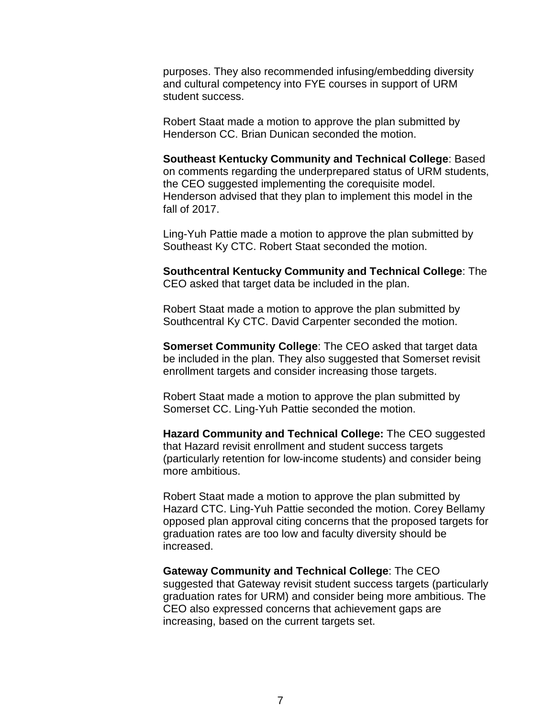purposes. They also recommended infusing/embedding diversity and cultural competency into FYE courses in support of URM student success.

Robert Staat made a motion to approve the plan submitted by Henderson CC. Brian Dunican seconded the motion.

**Southeast Kentucky Community and Technical College**: Based on comments regarding the underprepared status of URM students, the CEO suggested implementing the corequisite model. Henderson advised that they plan to implement this model in the fall of 2017.

Ling-Yuh Pattie made a motion to approve the plan submitted by Southeast Ky CTC. Robert Staat seconded the motion.

**Southcentral Kentucky Community and Technical College**: The CEO asked that target data be included in the plan.

Robert Staat made a motion to approve the plan submitted by Southcentral Ky CTC. David Carpenter seconded the motion.

**Somerset Community College**: The CEO asked that target data be included in the plan. They also suggested that Somerset revisit enrollment targets and consider increasing those targets.

Robert Staat made a motion to approve the plan submitted by Somerset CC. Ling-Yuh Pattie seconded the motion.

**Hazard Community and Technical College:** The CEO suggested that Hazard revisit enrollment and student success targets (particularly retention for low-income students) and consider being more ambitious.

Robert Staat made a motion to approve the plan submitted by Hazard CTC. Ling-Yuh Pattie seconded the motion. Corey Bellamy opposed plan approval citing concerns that the proposed targets for graduation rates are too low and faculty diversity should be increased.

**Gateway Community and Technical College**: The CEO suggested that Gateway revisit student success targets (particularly graduation rates for URM) and consider being more ambitious. The CEO also expressed concerns that achievement gaps are increasing, based on the current targets set.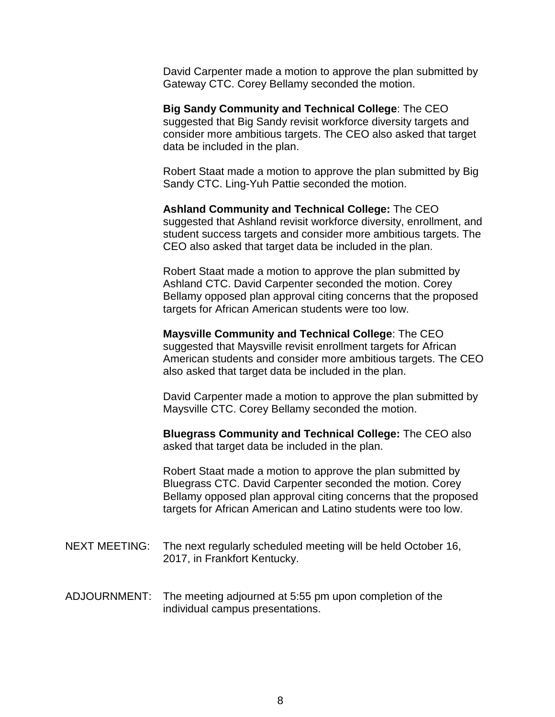David Carpenter made a motion to approve the plan submitted by Gateway CTC. Corey Bellamy seconded the motion.

**Big Sandy Community and Technical College**: The CEO suggested that Big Sandy revisit workforce diversity targets and consider more ambitious targets. The CEO also asked that target data be included in the plan.

Robert Staat made a motion to approve the plan submitted by Big Sandy CTC. Ling-Yuh Pattie seconded the motion.

**Ashland Community and Technical College:** The CEO suggested that Ashland revisit workforce diversity, enrollment, and student success targets and consider more ambitious targets. The CEO also asked that target data be included in the plan.

Robert Staat made a motion to approve the plan submitted by Ashland CTC. David Carpenter seconded the motion. Corey Bellamy opposed plan approval citing concerns that the proposed targets for African American students were too low.

**Maysville Community and Technical College**: The CEO suggested that Maysville revisit enrollment targets for African American students and consider more ambitious targets. The CEO also asked that target data be included in the plan.

David Carpenter made a motion to approve the plan submitted by Maysville CTC. Corey Bellamy seconded the motion.

**Bluegrass Community and Technical College:** The CEO also asked that target data be included in the plan.

Robert Staat made a motion to approve the plan submitted by Bluegrass CTC. David Carpenter seconded the motion. Corey Bellamy opposed plan approval citing concerns that the proposed targets for African American and Latino students were too low.

- NEXT MEETING: The next regularly scheduled meeting will be held October 16, 2017, in Frankfort Kentucky.
- ADJOURNMENT: The meeting adjourned at 5:55 pm upon completion of the individual campus presentations.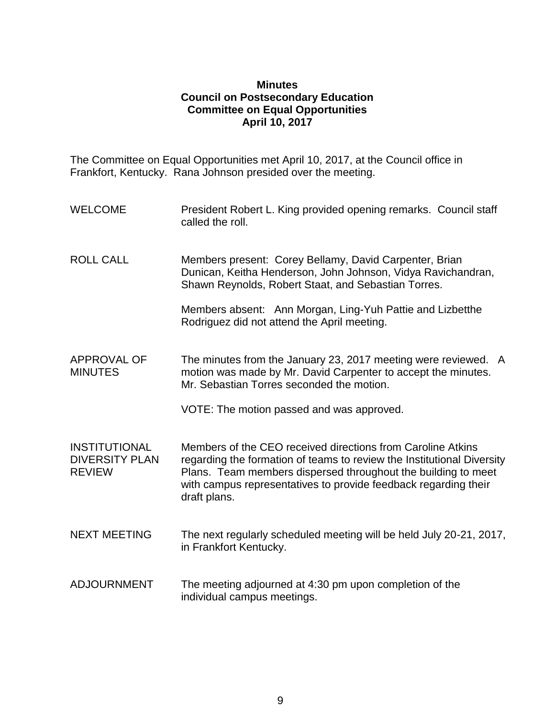#### **Minutes Council on Postsecondary Education Committee on Equal Opportunities April 10, 2017**

The Committee on Equal Opportunities met April 10, 2017, at the Council office in Frankfort, Kentucky. Rana Johnson presided over the meeting.

- WELCOME President Robert L. King provided opening remarks. Council staff called the roll.
- ROLL CALL Members present: Corey Bellamy, David Carpenter, Brian Dunican, Keitha Henderson, John Johnson, Vidya Ravichandran, Shawn Reynolds, Robert Staat, and Sebastian Torres.

Members absent: Ann Morgan, Ling-Yuh Pattie and Lizbetthe Rodriguez did not attend the April meeting.

APPROVAL OF MINUTES The minutes from the January 23, 2017 meeting were reviewed. A motion was made by Mr. David Carpenter to accept the minutes. Mr. Sebastian Torres seconded the motion.

VOTE: The motion passed and was approved.

INSTITUTIONAL DIVERSITY PLAN REVIEW Members of the CEO received directions from Caroline Atkins regarding the formation of teams to review the Institutional Diversity Plans. Team members dispersed throughout the building to meet with campus representatives to provide feedback regarding their draft plans.

- NEXT MEETING The next regularly scheduled meeting will be held July 20-21, 2017, in Frankfort Kentucky.
- ADJOURNMENT The meeting adjourned at 4:30 pm upon completion of the individual campus meetings.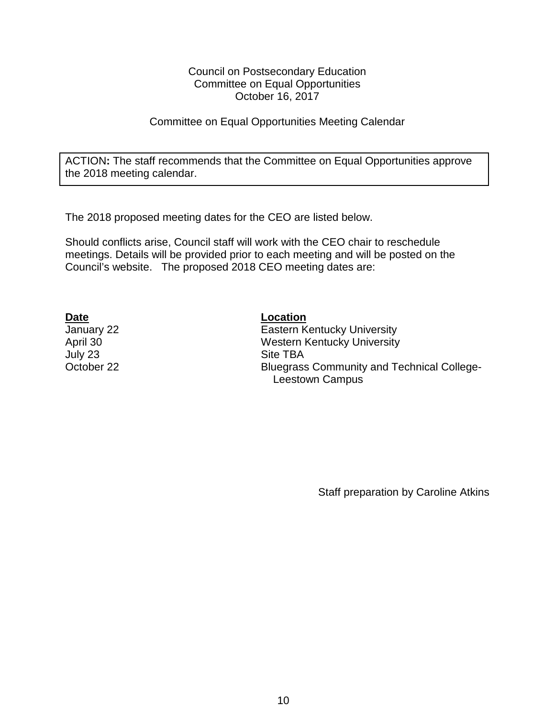#### Council on Postsecondary Education Committee on Equal Opportunities October 16, 2017

### Committee on Equal Opportunities Meeting Calendar

ACTION**:** The staff recommends that the Committee on Equal Opportunities approve the 2018 meeting calendar.

The 2018 proposed meeting dates for the CEO are listed below.

Should conflicts arise, Council staff will work with the CEO chair to reschedule meetings. Details will be provided prior to each meeting and will be posted on the Council's website. The proposed 2018 CEO meeting dates are:

July 23 Site TBA

**Date Location** January 22 Eastern Kentucky University April 30 Western Kentucky University October 22 Bluegrass Community and Technical College- Leestown Campus

Staff preparation by Caroline Atkins